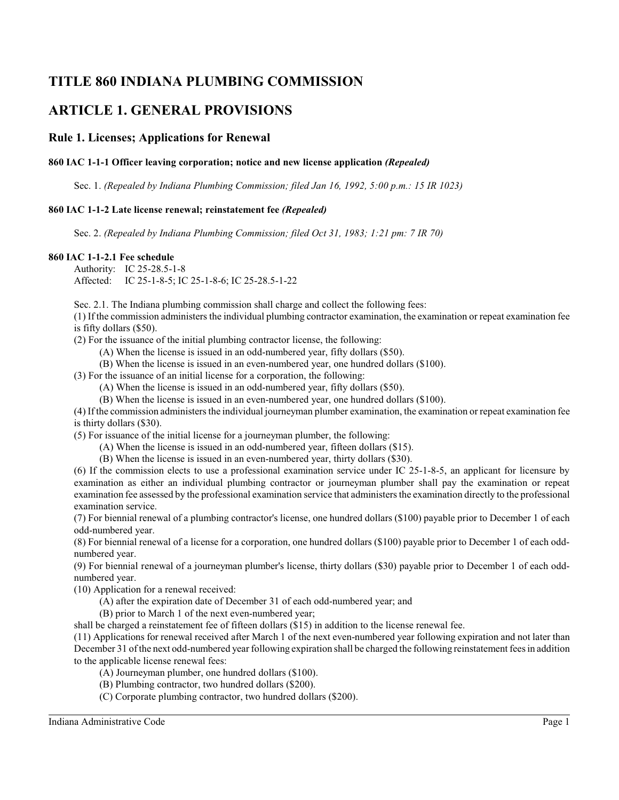# **TITLE 860 INDIANA PLUMBING COMMISSION**

# **ARTICLE 1. GENERAL PROVISIONS**

# **Rule 1. Licenses; Applications for Renewal**

# **860 IAC 1-1-1 Officer leaving corporation; notice and new license application** *(Repealed)*

Sec. 1. *(Repealed by Indiana Plumbing Commission; filed Jan 16, 1992, 5:00 p.m.: 15 IR 1023)*

#### **860 IAC 1-1-2 Late license renewal; reinstatement fee** *(Repealed)*

Sec. 2. *(Repealed by Indiana Plumbing Commission; filed Oct 31, 1983; 1:21 pm: 7 IR 70)*

#### **860 IAC 1-1-2.1 Fee schedule**

Authority: IC 25-28.5-1-8 Affected: IC 25-1-8-5; IC 25-1-8-6; IC 25-28.5-1-22

Sec. 2.1. The Indiana plumbing commission shall charge and collect the following fees:

(1) If the commission administers the individual plumbing contractor examination, the examination or repeat examination fee is fifty dollars (\$50).

(2) For the issuance of the initial plumbing contractor license, the following:

(A) When the license is issued in an odd-numbered year, fifty dollars (\$50).

(B) When the license is issued in an even-numbered year, one hundred dollars (\$100).

(3) For the issuance of an initial license for a corporation, the following:

(A) When the license is issued in an odd-numbered year, fifty dollars (\$50).

(B) When the license is issued in an even-numbered year, one hundred dollars (\$100).

(4) If the commission administers the individual journeyman plumber examination, the examination or repeat examination fee is thirty dollars (\$30).

(5) For issuance of the initial license for a journeyman plumber, the following:

(A) When the license is issued in an odd-numbered year, fifteen dollars (\$15).

(B) When the license is issued in an even-numbered year, thirty dollars (\$30).

(6) If the commission elects to use a professional examination service under IC 25-1-8-5, an applicant for licensure by examination as either an individual plumbing contractor or journeyman plumber shall pay the examination or repeat examination fee assessed by the professional examination service that administers the examination directly to the professional examination service.

(7) For biennial renewal of a plumbing contractor's license, one hundred dollars (\$100) payable prior to December 1 of each odd-numbered year.

(8) For biennial renewal of a license for a corporation, one hundred dollars (\$100) payable prior to December 1 of each oddnumbered year.

(9) For biennial renewal of a journeyman plumber's license, thirty dollars (\$30) payable prior to December 1 of each oddnumbered year.

(10) Application for a renewal received:

(A) after the expiration date of December 31 of each odd-numbered year; and

(B) prior to March 1 of the next even-numbered year;

shall be charged a reinstatement fee of fifteen dollars (\$15) in addition to the license renewal fee.

(11) Applications for renewal received after March 1 of the next even-numbered year following expiration and not later than December 31 of the next odd-numbered year following expiration shall be charged the following reinstatement fees in addition to the applicable license renewal fees:

(A) Journeyman plumber, one hundred dollars (\$100).

- (B) Plumbing contractor, two hundred dollars (\$200).
- (C) Corporate plumbing contractor, two hundred dollars (\$200).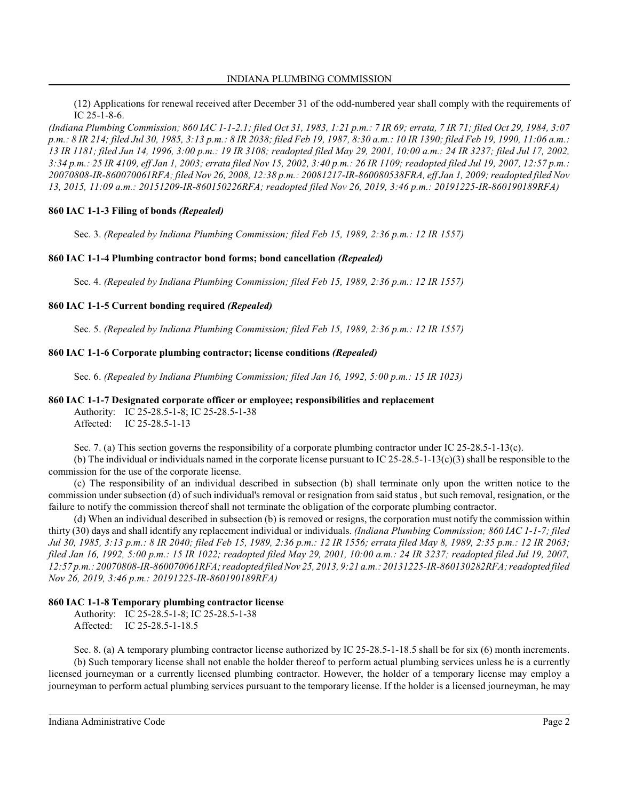### INDIANA PLUMBING COMMISSION

(12) Applications for renewal received after December 31 of the odd-numbered year shall comply with the requirements of IC 25-1-8-6.

*(Indiana Plumbing Commission; 860 IAC 1-1-2.1; filed Oct 31, 1983, 1:21 p.m.: 7 IR 69; errata, 7 IR 71; filed Oct 29, 1984, 3:07 p.m.: 8 IR 214; filed Jul 30, 1985, 3:13 p.m.: 8 IR 2038; filed Feb 19, 1987, 8:30 a.m.: 10 IR 1390; filed Feb 19, 1990, 11:06 a.m.: 13 IR 1181; filed Jun 14, 1996, 3:00 p.m.: 19 IR 3108; readopted filed May 29, 2001, 10:00 a.m.: 24 IR 3237; filed Jul 17, 2002, 3:34 p.m.: 25 IR 4109, eff Jan 1, 2003; errata filed Nov 15, 2002, 3:40 p.m.: 26 IR 1109; readopted filed Jul 19, 2007, 12:57 p.m.: 20070808-IR-860070061RFA; filed Nov 26, 2008, 12:38 p.m.: 20081217-IR-860080538FRA, eff Jan 1, 2009; readopted filed Nov 13, 2015, 11:09 a.m.: 20151209-IR-860150226RFA; readopted filed Nov 26, 2019, 3:46 p.m.: 20191225-IR-860190189RFA)*

#### **860 IAC 1-1-3 Filing of bonds** *(Repealed)*

Sec. 3. *(Repealed by Indiana Plumbing Commission; filed Feb 15, 1989, 2:36 p.m.: 12 IR 1557)*

#### **860 IAC 1-1-4 Plumbing contractor bond forms; bond cancellation** *(Repealed)*

Sec. 4. *(Repealed by Indiana Plumbing Commission; filed Feb 15, 1989, 2:36 p.m.: 12 IR 1557)*

#### **860 IAC 1-1-5 Current bonding required** *(Repealed)*

Sec. 5. *(Repealed by Indiana Plumbing Commission; filed Feb 15, 1989, 2:36 p.m.: 12 IR 1557)*

#### **860 IAC 1-1-6 Corporate plumbing contractor; license conditions** *(Repealed)*

Sec. 6. *(Repealed by Indiana Plumbing Commission; filed Jan 16, 1992, 5:00 p.m.: 15 IR 1023)*

#### **860 IAC 1-1-7 Designated corporate officer or employee; responsibilities and replacement**

Authority: IC 25-28.5-1-8; IC 25-28.5-1-38 Affected: IC 25-28.5-1-13

Sec. 7. (a) This section governs the responsibility of a corporate plumbing contractor under IC 25-28.5-1-13(c).

(b) The individual or individuals named in the corporate license pursuant to IC 25-28.5-1-13(c)(3) shall be responsible to the commission for the use of the corporate license.

(c) The responsibility of an individual described in subsection (b) shall terminate only upon the written notice to the commission under subsection (d) of such individual's removal or resignation from said status , but such removal, resignation, or the failure to notify the commission thereof shall not terminate the obligation of the corporate plumbing contractor.

(d) When an individual described in subsection (b) is removed or resigns, the corporation must notify the commission within thirty (30) days and shall identify any replacement individual or individuals. *(Indiana Plumbing Commission; 860 IAC 1-1-7; filed Jul 30, 1985, 3:13 p.m.: 8 IR 2040; filed Feb 15, 1989, 2:36 p.m.: 12 IR 1556; errata filed May 8, 1989, 2:35 p.m.: 12 IR 2063; filed Jan 16, 1992, 5:00 p.m.: 15 IR 1022; readopted filed May 29, 2001, 10:00 a.m.: 24 IR 3237; readopted filed Jul 19, 2007, 12:57 p.m.: 20070808-IR-860070061RFA; readopted filed Nov 25, 2013, 9:21 a.m.: 20131225-IR-860130282RFA; readopted filed Nov 26, 2019, 3:46 p.m.: 20191225-IR-860190189RFA)*

# **860 IAC 1-1-8 Temporary plumbing contractor license**

Authority: IC 25-28.5-1-8; IC 25-28.5-1-38 Affected: IC 25-28.5-1-18.5

Sec. 8. (a) A temporary plumbing contractor license authorized by IC 25-28.5-1-18.5 shall be for six (6) month increments. (b) Such temporary license shall not enable the holder thereof to perform actual plumbing services unless he is a currently licensed journeyman or a currently licensed plumbing contractor. However, the holder of a temporary license may employ a journeyman to perform actual plumbing services pursuant to the temporary license. If the holder is a licensed journeyman, he may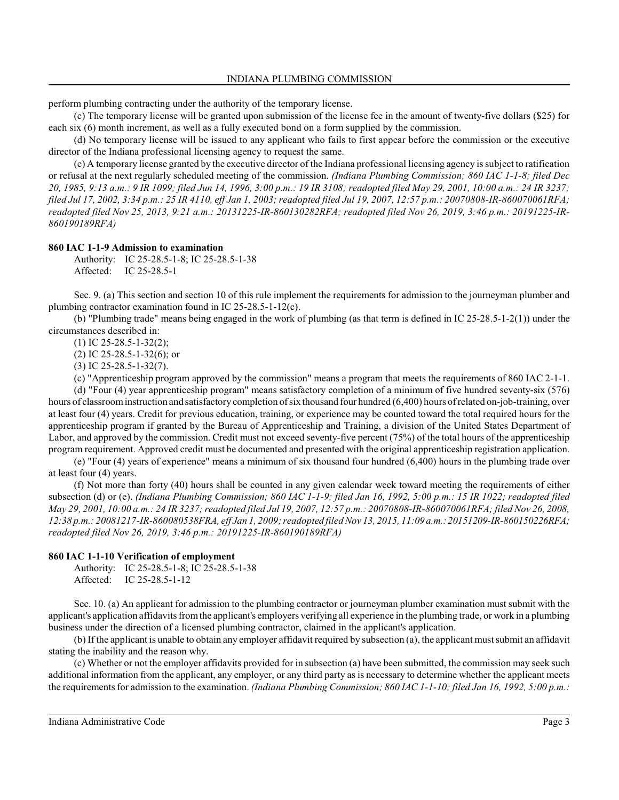perform plumbing contracting under the authority of the temporary license.

(c) The temporary license will be granted upon submission of the license fee in the amount of twenty-five dollars (\$25) for each six (6) month increment, as well as a fully executed bond on a form supplied by the commission.

(d) No temporary license will be issued to any applicant who fails to first appear before the commission or the executive director of the Indiana professional licensing agency to request the same.

(e) A temporary license granted by the executive director of the Indiana professional licensing agency is subject to ratification or refusal at the next regularly scheduled meeting of the commission. *(Indiana Plumbing Commission; 860 IAC 1-1-8; filed Dec 20, 1985, 9:13 a.m.: 9 IR 1099; filed Jun 14, 1996, 3:00 p.m.: 19 IR 3108; readopted filed May 29, 2001, 10:00 a.m.: 24 IR 3237; filed Jul 17, 2002, 3:34 p.m.: 25 IR 4110, eff Jan 1, 2003; readopted filed Jul 19, 2007, 12:57 p.m.: 20070808-IR-860070061RFA; readopted filed Nov 25, 2013, 9:21 a.m.: 20131225-IR-860130282RFA; readopted filed Nov 26, 2019, 3:46 p.m.: 20191225-IR-860190189RFA)*

#### **860 IAC 1-1-9 Admission to examination**

Authority: IC 25-28.5-1-8; IC 25-28.5-1-38 Affected: IC 25-28.5-1

Sec. 9. (a) This section and section 10 of this rule implement the requirements for admission to the journeyman plumber and plumbing contractor examination found in IC 25-28.5-1-12(c).

(b) "Plumbing trade" means being engaged in the work of plumbing (as that term is defined in IC 25-28.5-1-2(1)) under the circumstances described in:

(1) IC 25-28.5-1-32(2);

(2) IC 25-28.5-1-32(6); or

(3) IC 25-28.5-1-32(7).

(c) "Apprenticeship program approved by the commission" means a program that meets the requirements of 860 IAC 2-1-1. (d) "Four (4) year apprenticeship program" means satisfactory completion of a minimum of five hundred seventy-six (576) hours of classroom instruction and satisfactory completion of six thousand four hundred (6,400) hours of related on-job-training, over at least four (4) years. Credit for previous education, training, or experience may be counted toward the total required hours for the apprenticeship program if granted by the Bureau of Apprenticeship and Training, a division of the United States Department of Labor, and approved by the commission. Credit must not exceed seventy-five percent (75%) of the total hours of the apprenticeship program requirement. Approved credit must be documented and presented with the original apprenticeship registration application.

(e) "Four (4) years of experience" means a minimum of six thousand four hundred (6,400) hours in the plumbing trade over at least four (4) years.

(f) Not more than forty (40) hours shall be counted in any given calendar week toward meeting the requirements of either subsection (d) or (e). *(Indiana Plumbing Commission; 860 IAC 1-1-9; filed Jan 16, 1992, 5:00 p.m.: 15 IR 1022; readopted filed May 29, 2001, 10:00 a.m.: 24 IR 3237; readopted filed Jul 19, 2007, 12:57 p.m.: 20070808-IR-860070061RFA; filed Nov 26, 2008, 12:38 p.m.: 20081217-IR-860080538FRA, eff Jan 1, 2009; readopted filed Nov 13, 2015, 11:09 a.m.: 20151209-IR-860150226RFA; readopted filed Nov 26, 2019, 3:46 p.m.: 20191225-IR-860190189RFA)*

#### **860 IAC 1-1-10 Verification of employment**

Authority: IC 25-28.5-1-8; IC 25-28.5-1-38 Affected: IC 25-28.5-1-12

Sec. 10. (a) An applicant for admission to the plumbing contractor or journeyman plumber examination must submit with the applicant's application affidavits fromthe applicant's employers verifying all experience in the plumbing trade, or work in a plumbing business under the direction of a licensed plumbing contractor, claimed in the applicant's application.

(b) If the applicant is unable to obtain any employer affidavit required by subsection (a), the applicant mustsubmit an affidavit stating the inability and the reason why.

(c) Whether or not the employer affidavits provided for in subsection (a) have been submitted, the commission may seek such additional information from the applicant, any employer, or any third party as is necessary to determine whether the applicant meets the requirements for admission to the examination. *(Indiana Plumbing Commission; 860 IAC 1-1-10; filed Jan 16, 1992, 5:00 p.m.:*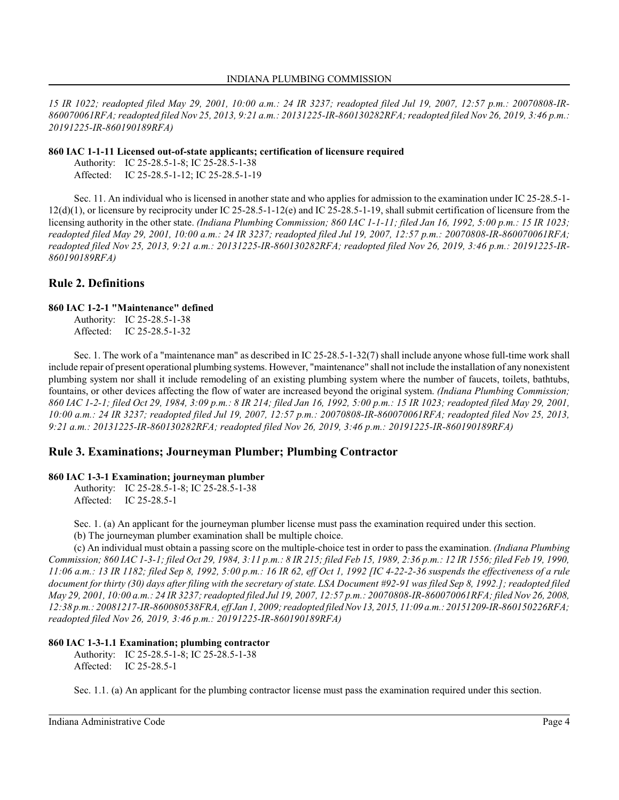*15 IR 1022; readopted filed May 29, 2001, 10:00 a.m.: 24 IR 3237; readopted filed Jul 19, 2007, 12:57 p.m.: 20070808-IR-860070061RFA; readopted filed Nov 25, 2013, 9:21 a.m.: 20131225-IR-860130282RFA; readopted filed Nov 26, 2019, 3:46 p.m.: 20191225-IR-860190189RFA)*

#### **860 IAC 1-1-11 Licensed out-of-state applicants; certification of licensure required**

Authority: IC 25-28.5-1-8; IC 25-28.5-1-38 Affected: IC 25-28.5-1-12; IC 25-28.5-1-19

Sec. 11. An individual who is licensed in another state and who applies for admission to the examination under IC 25-28.5-1- 12(d)(1), or licensure by reciprocity under IC 25-28.5-1-12(e) and IC 25-28.5-1-19, shall submit certification of licensure from the licensing authority in the other state. *(Indiana Plumbing Commission; 860 IAC 1-1-11; filed Jan 16, 1992, 5:00 p.m.: 15 IR 1023; readopted filed May 29, 2001, 10:00 a.m.: 24 IR 3237; readopted filed Jul 19, 2007, 12:57 p.m.: 20070808-IR-860070061RFA; readopted filed Nov 25, 2013, 9:21 a.m.: 20131225-IR-860130282RFA; readopted filed Nov 26, 2019, 3:46 p.m.: 20191225-IR-860190189RFA)*

# **Rule 2. Definitions**

# **860 IAC 1-2-1 "Maintenance" defined**

Authority: IC 25-28.5-1-38 Affected: IC 25-28.5-1-32

Sec. 1. The work of a "maintenance man" as described in IC 25-28.5-1-32(7) shall include anyone whose full-time work shall include repair of present operational plumbing systems. However, "maintenance" shall not include the installation of any nonexistent plumbing system nor shall it include remodeling of an existing plumbing system where the number of faucets, toilets, bathtubs, fountains, or other devices affecting the flow of water are increased beyond the original system. *(Indiana Plumbing Commission; 860 IAC 1-2-1; filed Oct 29, 1984, 3:09 p.m.: 8 IR 214; filed Jan 16, 1992, 5:00 p.m.: 15 IR 1023; readopted filed May 29, 2001, 10:00 a.m.: 24 IR 3237; readopted filed Jul 19, 2007, 12:57 p.m.: 20070808-IR-860070061RFA; readopted filed Nov 25, 2013, 9:21 a.m.: 20131225-IR-860130282RFA; readopted filed Nov 26, 2019, 3:46 p.m.: 20191225-IR-860190189RFA)*

# **Rule 3. Examinations; Journeyman Plumber; Plumbing Contractor**

# **860 IAC 1-3-1 Examination; journeyman plumber**

Authority: IC 25-28.5-1-8; IC 25-28.5-1-38 Affected: IC 25-28.5-1

Sec. 1. (a) An applicant for the journeyman plumber license must pass the examination required under this section. (b) The journeyman plumber examination shall be multiple choice.

(c) An individual must obtain a passing score on the multiple-choice test in order to pass the examination. *(Indiana Plumbing Commission; 860 IAC 1-3-1; filed Oct 29, 1984, 3:11 p.m.: 8 IR 215; filed Feb 15, 1989, 2:36 p.m.: 12 IR 1556; filed Feb 19, 1990, 11:06 a.m.: 13 IR 1182; filed Sep 8, 1992, 5:00 p.m.: 16 IR 62, eff Oct 1, 1992 [IC 4-22-2-36 suspends the effectiveness of a rule document for thirty (30) days after filing with the secretary of state. LSA Document #92-91 was filed Sep 8, 1992.]; readopted filed May 29, 2001, 10:00 a.m.: 24 IR 3237; readopted filed Jul 19, 2007, 12:57 p.m.: 20070808-IR-860070061RFA; filed Nov 26, 2008, 12:38 p.m.: 20081217-IR-860080538FRA, eff Jan 1, 2009; readopted filed Nov13, 2015, 11:09 a.m.: 20151209-IR-860150226RFA; readopted filed Nov 26, 2019, 3:46 p.m.: 20191225-IR-860190189RFA)*

# **860 IAC 1-3-1.1 Examination; plumbing contractor**

Authority: IC 25-28.5-1-8; IC 25-28.5-1-38 Affected: IC 25-28.5-1

Sec. 1.1. (a) An applicant for the plumbing contractor license must pass the examination required under this section.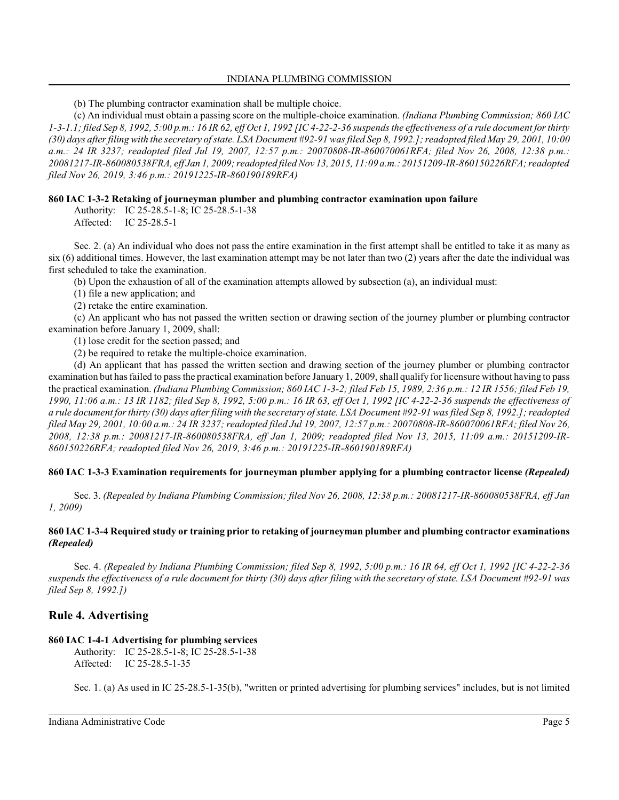#### INDIANA PLUMBING COMMISSION

(b) The plumbing contractor examination shall be multiple choice.

(c) An individual must obtain a passing score on the multiple-choice examination. *(Indiana Plumbing Commission; 860 IAC 1-3-1.1; filed Sep 8, 1992, 5:00 p.m.: 16 IR 62, eff Oct 1, 1992 [IC 4-22-2-36 suspends the effectiveness of a rule document for thirty (30) days after filing with the secretary of state. LSA Document #92-91 was filed Sep 8, 1992.]; readopted filed May 29, 2001, 10:00 a.m.: 24 IR 3237; readopted filed Jul 19, 2007, 12:57 p.m.: 20070808-IR-860070061RFA; filed Nov 26, 2008, 12:38 p.m.: 20081217-IR-860080538FRA, eff Jan 1, 2009; readopted filed Nov 13, 2015, 11:09 a.m.: 20151209-IR-860150226RFA; readopted filed Nov 26, 2019, 3:46 p.m.: 20191225-IR-860190189RFA)*

### **860 IAC 1-3-2 Retaking of journeyman plumber and plumbing contractor examination upon failure**

Authority: IC 25-28.5-1-8; IC 25-28.5-1-38 Affected: IC 25-28.5-1

Sec. 2. (a) An individual who does not pass the entire examination in the first attempt shall be entitled to take it as many as six (6) additional times. However, the last examination attempt may be not later than two (2) years after the date the individual was first scheduled to take the examination.

(b) Upon the exhaustion of all of the examination attempts allowed by subsection (a), an individual must:

(1) file a new application; and

(2) retake the entire examination.

(c) An applicant who has not passed the written section or drawing section of the journey plumber or plumbing contractor examination before January 1, 2009, shall:

(1) lose credit for the section passed; and

(2) be required to retake the multiple-choice examination.

(d) An applicant that has passed the written section and drawing section of the journey plumber or plumbing contractor examination but has failed to pass the practical examination before January 1, 2009, shall qualify for licensure without having to pass the practical examination. *(Indiana Plumbing Commission; 860 IAC 1-3-2; filed Feb 15, 1989, 2:36 p.m.: 12 IR 1556; filed Feb 19, 1990, 11:06 a.m.: 13 IR 1182; filed Sep 8, 1992, 5:00 p.m.: 16 IR 63, eff Oct 1, 1992 [IC 4-22-2-36 suspends the effectiveness of a rule document for thirty (30) days after filing with the secretary of state. LSA Document #92-91 was filed Sep 8, 1992.]; readopted filed May 29, 2001, 10:00 a.m.: 24 IR 3237; readopted filed Jul 19, 2007, 12:57 p.m.: 20070808-IR-860070061RFA; filed Nov 26, 2008, 12:38 p.m.: 20081217-IR-860080538FRA, eff Jan 1, 2009; readopted filed Nov 13, 2015, 11:09 a.m.: 20151209-IR-860150226RFA; readopted filed Nov 26, 2019, 3:46 p.m.: 20191225-IR-860190189RFA)*

# **860 IAC 1-3-3 Examination requirements for journeyman plumber applying for a plumbing contractor license** *(Repealed)*

Sec. 3. *(Repealed by Indiana Plumbing Commission; filed Nov 26, 2008, 12:38 p.m.: 20081217-IR-860080538FRA, eff Jan 1, 2009)*

# **860 IAC 1-3-4 Required study or training prior to retaking of journeyman plumber and plumbing contractor examinations** *(Repealed)*

Sec. 4. *(Repealed by Indiana Plumbing Commission; filed Sep 8, 1992, 5:00 p.m.: 16 IR 64, eff Oct 1, 1992 [IC 4-22-2-36 suspends the effectiveness of a rule document for thirty (30) days after filing with the secretary of state. LSA Document #92-91 was filed Sep 8, 1992.])*

# **Rule 4. Advertising**

# **860 IAC 1-4-1 Advertising for plumbing services**

Authority: IC 25-28.5-1-8; IC 25-28.5-1-38 Affected: IC 25-28.5-1-35

Sec. 1. (a) As used in IC 25-28.5-1-35(b), "written or printed advertising for plumbing services" includes, but is not limited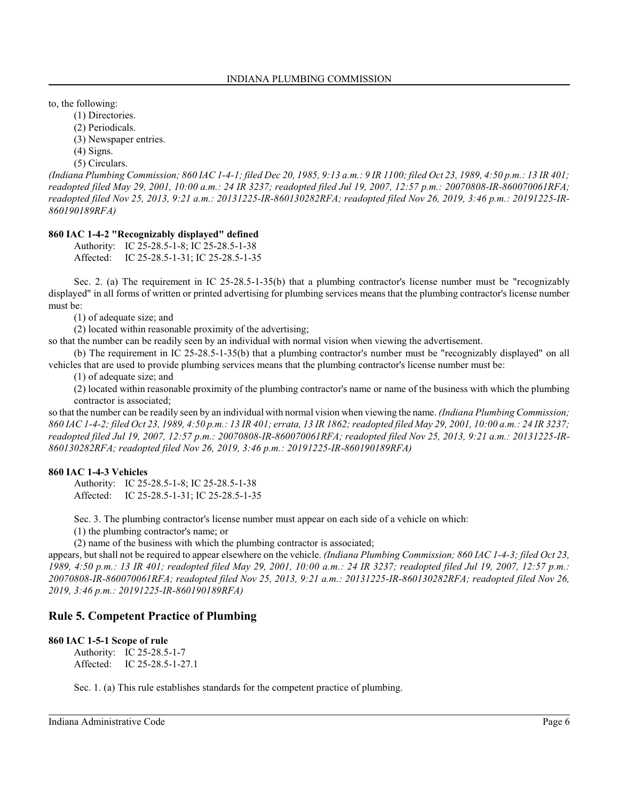to, the following:

(1) Directories.

(2) Periodicals.

(3) Newspaper entries.

(4) Signs.

(5) Circulars.

*(Indiana Plumbing Commission; 860 IAC 1-4-1; filed Dec 20, 1985, 9:13 a.m.: 9 IR 1100; filed Oct 23, 1989, 4:50 p.m.: 13 IR 401; readopted filed May 29, 2001, 10:00 a.m.: 24 IR 3237; readopted filed Jul 19, 2007, 12:57 p.m.: 20070808-IR-860070061RFA; readopted filed Nov 25, 2013, 9:21 a.m.: 20131225-IR-860130282RFA; readopted filed Nov 26, 2019, 3:46 p.m.: 20191225-IR-860190189RFA)*

# **860 IAC 1-4-2 "Recognizably displayed" defined**

Authority: IC 25-28.5-1-8; IC 25-28.5-1-38 Affected: IC 25-28.5-1-31; IC 25-28.5-1-35

Sec. 2. (a) The requirement in IC 25-28.5-1-35(b) that a plumbing contractor's license number must be "recognizably displayed" in all forms of written or printed advertising for plumbing services means that the plumbing contractor's license number must be:

(1) of adequate size; and

(2) located within reasonable proximity of the advertising;

so that the number can be readily seen by an individual with normal vision when viewing the advertisement.

(b) The requirement in IC 25-28.5-1-35(b) that a plumbing contractor's number must be "recognizably displayed" on all vehicles that are used to provide plumbing services means that the plumbing contractor's license number must be:

(1) of adequate size; and

(2) located within reasonable proximity of the plumbing contractor's name or name of the business with which the plumbing contractor is associated;

so that the number can be readily seen by an individual with normal vision when viewing the name. *(Indiana Plumbing Commission; 860 IAC 1-4-2; filed Oct 23, 1989, 4:50 p.m.: 13 IR 401; errata, 13 IR 1862; readopted filed May 29, 2001, 10:00 a.m.: 24 IR 3237; readopted filed Jul 19, 2007, 12:57 p.m.: 20070808-IR-860070061RFA; readopted filed Nov 25, 2013, 9:21 a.m.: 20131225-IR-860130282RFA; readopted filed Nov 26, 2019, 3:46 p.m.: 20191225-IR-860190189RFA)*

# **860 IAC 1-4-3 Vehicles**

Authority: IC 25-28.5-1-8; IC 25-28.5-1-38 Affected: IC 25-28.5-1-31; IC 25-28.5-1-35

Sec. 3. The plumbing contractor's license number must appear on each side of a vehicle on which:

(1) the plumbing contractor's name; or

(2) name of the business with which the plumbing contractor is associated;

appears, but shall not be required to appear elsewhere on the vehicle. *(Indiana Plumbing Commission; 860 IAC 1-4-3; filed Oct 23, 1989, 4:50 p.m.: 13 IR 401; readopted filed May 29, 2001, 10:00 a.m.: 24 IR 3237; readopted filed Jul 19, 2007, 12:57 p.m.: 20070808-IR-860070061RFA; readopted filed Nov 25, 2013, 9:21 a.m.: 20131225-IR-860130282RFA; readopted filed Nov 26, 2019, 3:46 p.m.: 20191225-IR-860190189RFA)*

# **Rule 5. Competent Practice of Plumbing**

#### **860 IAC 1-5-1 Scope of rule**

Authority: IC 25-28.5-1-7 Affected: IC 25-28.5-1-27.1

Sec. 1. (a) This rule establishes standards for the competent practice of plumbing.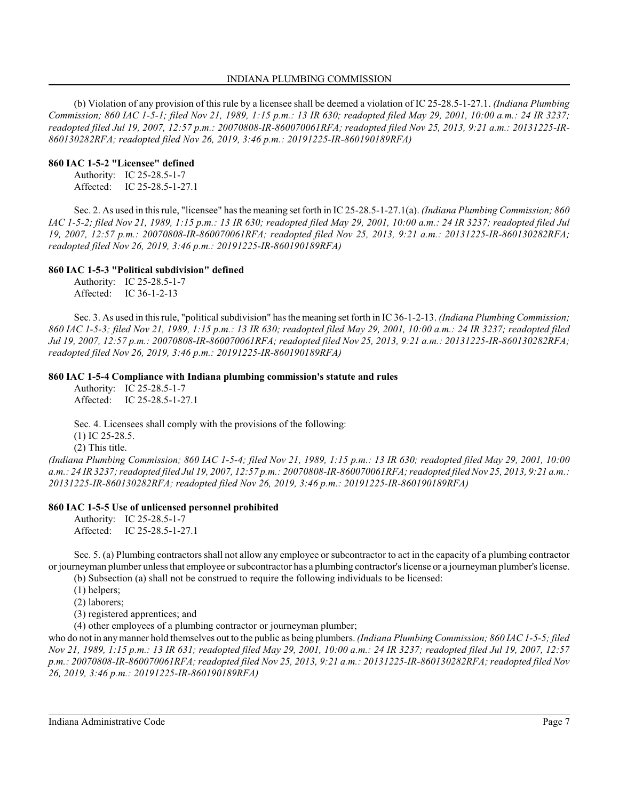#### INDIANA PLUMBING COMMISSION

(b) Violation of any provision of this rule by a licensee shall be deemed a violation of IC 25-28.5-1-27.1. *(Indiana Plumbing Commission; 860 IAC 1-5-1; filed Nov 21, 1989, 1:15 p.m.: 13 IR 630; readopted filed May 29, 2001, 10:00 a.m.: 24 IR 3237; readopted filed Jul 19, 2007, 12:57 p.m.: 20070808-IR-860070061RFA; readopted filed Nov 25, 2013, 9:21 a.m.: 20131225-IR-860130282RFA; readopted filed Nov 26, 2019, 3:46 p.m.: 20191225-IR-860190189RFA)*

### **860 IAC 1-5-2 "Licensee" defined**

Authority: IC 25-28.5-1-7 Affected: IC 25-28.5-1-27.1

Sec. 2. As used in thisrule, "licensee" has the meaning set forth in IC 25-28.5-1-27.1(a). *(Indiana Plumbing Commission; 860 IAC 1-5-2; filed Nov 21, 1989, 1:15 p.m.: 13 IR 630; readopted filed May 29, 2001, 10:00 a.m.: 24 IR 3237; readopted filed Jul 19, 2007, 12:57 p.m.: 20070808-IR-860070061RFA; readopted filed Nov 25, 2013, 9:21 a.m.: 20131225-IR-860130282RFA; readopted filed Nov 26, 2019, 3:46 p.m.: 20191225-IR-860190189RFA)*

# **860 IAC 1-5-3 "Political subdivision" defined**

Authority: IC 25-28.5-1-7 Affected: IC 36-1-2-13

Sec. 3. As used in thisrule, "political subdivision" has the meaning set forth in IC 36-1-2-13. *(Indiana Plumbing Commission; 860 IAC 1-5-3; filed Nov 21, 1989, 1:15 p.m.: 13 IR 630; readopted filed May 29, 2001, 10:00 a.m.: 24 IR 3237; readopted filed Jul 19, 2007, 12:57 p.m.: 20070808-IR-860070061RFA; readopted filed Nov 25, 2013, 9:21 a.m.: 20131225-IR-860130282RFA; readopted filed Nov 26, 2019, 3:46 p.m.: 20191225-IR-860190189RFA)*

# **860 IAC 1-5-4 Compliance with Indiana plumbing commission's statute and rules**

Authority: IC 25-28.5-1-7 Affected: IC 25-28.5-1-27.1

Sec. 4. Licensees shall comply with the provisions of the following:

(1) IC 25-28.5.

(2) This title.

*(Indiana Plumbing Commission; 860 IAC 1-5-4; filed Nov 21, 1989, 1:15 p.m.: 13 IR 630; readopted filed May 29, 2001, 10:00 a.m.: 24 IR 3237; readopted filed Jul 19, 2007, 12:57 p.m.: 20070808-IR-860070061RFA; readopted filed Nov 25, 2013, 9:21 a.m.: 20131225-IR-860130282RFA; readopted filed Nov 26, 2019, 3:46 p.m.: 20191225-IR-860190189RFA)*

# **860 IAC 1-5-5 Use of unlicensed personnel prohibited**

Authority: IC 25-28.5-1-7 Affected: IC 25-28.5-1-27.1

Sec. 5. (a) Plumbing contractors shall not allow any employee or subcontractor to act in the capacity of a plumbing contractor or journeyman plumber unless that employee orsubcontractor has a plumbing contractor'slicense or a journeyman plumber's license. (b) Subsection (a) shall not be construed to require the following individuals to be licensed:

(1) helpers;

(2) laborers;

(3) registered apprentices; and

(4) other employees of a plumbing contractor or journeyman plumber;

who do not in anymanner hold themselves out to the public as being plumbers. *(Indiana Plumbing Commission; 860 IAC 1-5-5; filed Nov 21, 1989, 1:15 p.m.: 13 IR 631; readopted filed May 29, 2001, 10:00 a.m.: 24 IR 3237; readopted filed Jul 19, 2007, 12:57 p.m.: 20070808-IR-860070061RFA; readopted filed Nov 25, 2013, 9:21 a.m.: 20131225-IR-860130282RFA; readopted filed Nov 26, 2019, 3:46 p.m.: 20191225-IR-860190189RFA)*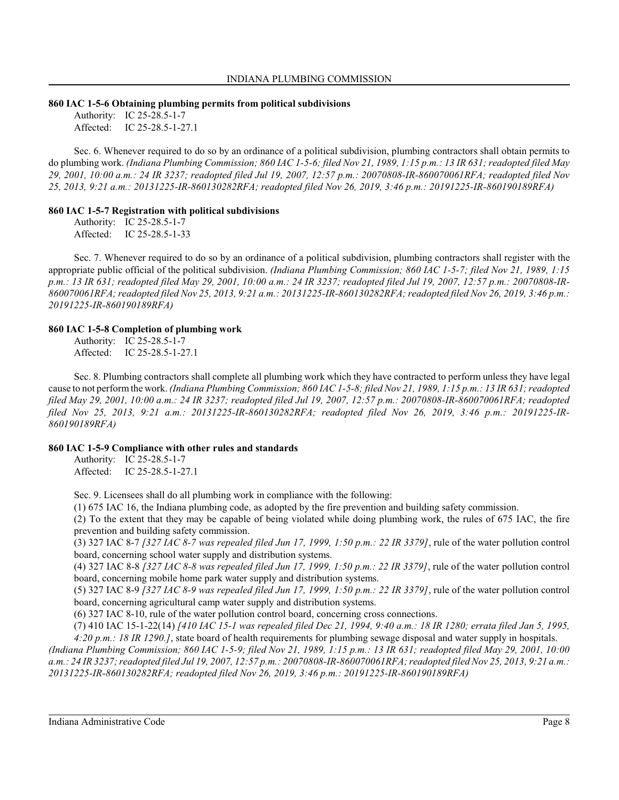#### **860 IAC 1-5-6 Obtaining plumbing permits from political subdivisions**

Authority: IC 25-28.5-1-7 Affected: IC 25-28.5-1-27.1

Sec. 6. Whenever required to do so by an ordinance of a political subdivision, plumbing contractors shall obtain permits to do plumbing work. *(Indiana Plumbing Commission; 860 IAC 1-5-6; filed Nov 21, 1989, 1:15 p.m.: 13 IR 631; readopted filed May 29, 2001, 10:00 a.m.: 24 IR 3237; readopted filed Jul 19, 2007, 12:57 p.m.: 20070808-IR-860070061RFA; readopted filed Nov 25, 2013, 9:21 a.m.: 20131225-IR-860130282RFA; readopted filed Nov 26, 2019, 3:46 p.m.: 20191225-IR-860190189RFA)*

# **860 IAC 1-5-7 Registration with political subdivisions**

Authority: IC 25-28.5-1-7 Affected: IC 25-28.5-1-33

Sec. 7. Whenever required to do so by an ordinance of a political subdivision, plumbing contractors shall register with the appropriate public official of the political subdivision. *(Indiana Plumbing Commission; 860 IAC 1-5-7; filed Nov 21, 1989, 1:15 p.m.: 13 IR 631; readopted filed May 29, 2001, 10:00 a.m.: 24 IR 3237; readopted filed Jul 19, 2007, 12:57 p.m.: 20070808-IR-860070061RFA; readopted filed Nov 25, 2013, 9:21 a.m.: 20131225-IR-860130282RFA; readopted filed Nov 26, 2019, 3:46 p.m.: 20191225-IR-860190189RFA)*

#### **860 IAC 1-5-8 Completion of plumbing work**

Authority: IC 25-28.5-1-7 Affected: IC 25-28.5-1-27.1

Sec. 8. Plumbing contractors shall complete all plumbing work which they have contracted to perform unless they have legal cause to not perform the work. *(Indiana Plumbing Commission;* 860 IAC 1-5-8; filed Nov 21, 1989, 1:15 p.m.: 13 IR 631; readopted *filed May 29, 2001, 10:00 a.m.: 24 IR 3237; readopted filed Jul 19, 2007, 12:57 p.m.: 20070808-IR-860070061RFA; readopted filed Nov 25, 2013, 9:21 a.m.: 20131225-IR-860130282RFA; readopted filed Nov 26, 2019, 3:46 p.m.: 20191225-IR-860190189RFA)*

# **860 IAC 1-5-9 Compliance with other rules and standards**

Authority: IC 25-28.5-1-7 Affected: IC 25-28.5-1-27.1

Sec. 9. Licensees shall do all plumbing work in compliance with the following:

(1) 675 IAC 16, the Indiana plumbing code, as adopted by the fire prevention and building safety commission.

(2) To the extent that they may be capable of being violated while doing plumbing work, the rules of 675 IAC, the fire prevention and building safety commission.

(3) 327 IAC 8-7 *[327 IAC 8-7 was repealed filed Jun 17, 1999, 1:50 p.m.: 22 IR 3379]*, rule of the water pollution control board, concerning school water supply and distribution systems.

(4) 327 IAC 8-8 *[327 IAC 8-8 was repealed filed Jun 17, 1999, 1:50 p.m.: 22 IR 3379]*, rule of the water pollution control board, concerning mobile home park water supply and distribution systems.

(5) 327 IAC 8-9 *[327 IAC 8-9 was repealed filed Jun 17, 1999, 1:50 p.m.: 22 IR 3379]*, rule of the water pollution control board, concerning agricultural camp water supply and distribution systems.

(6) 327 IAC 8-10, rule of the water pollution control board, concerning cross connections.

(7) 410 IAC 15-1-22(14) *[410 IAC 15-1 was repealed filed Dec 21, 1994, 9:40 a.m.: 18 IR 1280; errata filed Jan 5, 1995, 4:20 p.m.: 18 IR 1290.]*, state board of health requirements for plumbing sewage disposal and water supply in hospitals.

*(Indiana Plumbing Commission; 860 IAC 1-5-9; filed Nov 21, 1989, 1:15 p.m.: 13 IR 631; readopted filed May 29, 2001, 10:00 a.m.: 24 IR 3237; readopted filed Jul 19, 2007, 12:57 p.m.: 20070808-IR-860070061RFA; readopted filed Nov 25, 2013, 9:21 a.m.: 20131225-IR-860130282RFA; readopted filed Nov 26, 2019, 3:46 p.m.: 20191225-IR-860190189RFA)*